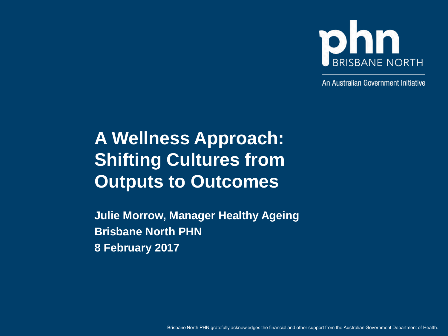

# **A Wellness Approach: Shifting Cultures from Outputs to Outcomes**

**Julie Morrow, Manager Healthy Ageing Brisbane North PHN 8 February 2017**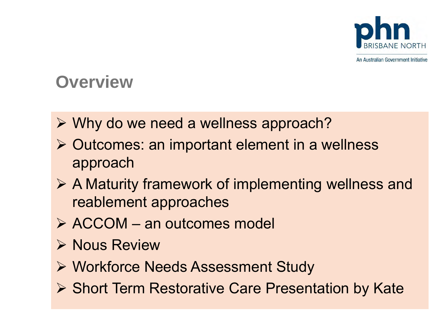

## **Overview**

- $\triangleright$  Why do we need a wellness approach?
- **≻ Outcomes: an important element in a wellness** approach
- A Maturity framework of implementing wellness and reablement approaches
- ACCOM an outcomes model
- $\triangleright$  Nous Review
- Workforce Needs Assessment Study
- ▶ Short Term Restorative Care Presentation by Kate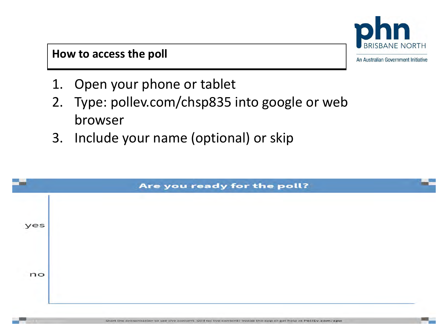

#### **How to access the poll**

An Australian Government Initiative

- 1. Open your phone or tablet
- 2. Type: pollev.com/chsp835 into google or web browser
- 3. Include your name (optional) or skip

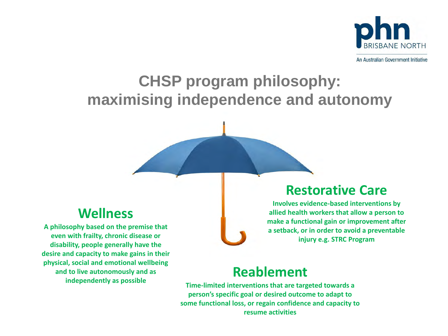

## **CHSP program philosophy: maximising independence and autonomy**

#### **Wellness**

**A philosophy based on the premise that even with frailty, chronic disease or disability, people generally have the desire and capacity to make gains in their physical, social and emotional wellbeing and to live autonomously and as independently as possible**

#### **Restorative Care**

**Involves evidence-based interventions by allied health workers that allow a person to make a functional gain or improvement after a setback, or in order to avoid a preventable injury e.g. STRC Program**

### **Reablement**

**Time-limited interventions that are targeted towards a person's specific goal or desired outcome to adapt to some functional loss, or regain confidence and capacity to resume activities**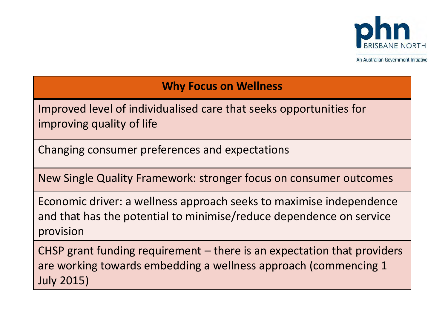

#### **Why Focus on Wellness**

Improved level of individualised care that seeks opportunities for improving quality of life

Changing consumer preferences and expectations

New Single Quality Framework: stronger focus on consumer outcomes

Economic driver: a wellness approach seeks to maximise independence and that has the potential to minimise/reduce dependence on service provision

CHSP grant funding requirement – there is an expectation that providers are working towards embedding a wellness approach (commencing 1 July 2015)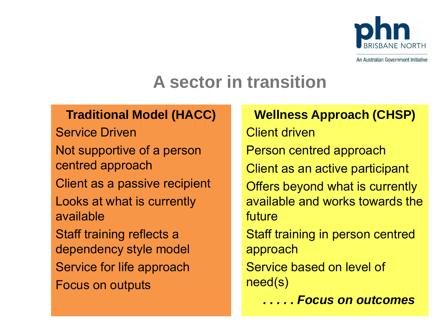

# **A sector in transition**

### **Traditional Model (HACC)**

Service Driven Not supportive of a person centred approach Client as a passive recipient Looks at what is currently available Staff training reflects a dependency style model Service for life approach Focus on outputs

### **Wellness Approach (CHSP)**

Client driven Person centred approach Client as an active participant Offers beyond what is currently available and works towards the future

Staff training in person centred approach

Service based on level of need(s)

*. . . . . Focus on outcomes*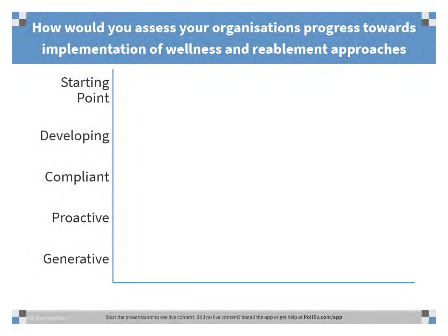How would you assess your organisations progress towards implementation of wellness and reablement approaches

**Starting** Point

Developing

Compliant

Proactive

Generative

Start the presentation to see live content. Still no live content? Install the app or get help at PollEv.com/app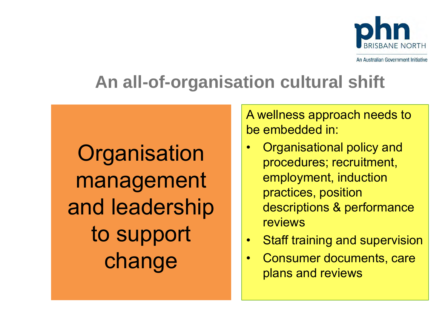

# **An all-of-organisation cultural shift**

**Organisation** management and leadership to support change

A wellness approach needs to be embedded in:

- Organisational policy and procedures; recruitment, employment, induction practices, position descriptions & performance reviews
- Staff training and supervision
- Consumer documents, care plans and reviews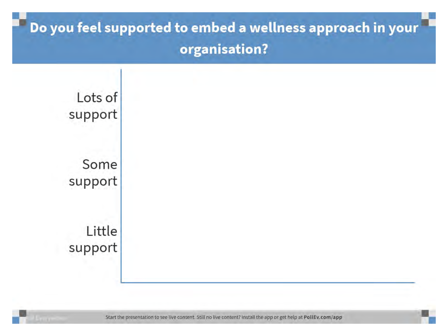# Do you feel supported to embed a wellness approach in your organisation?



Start the presentation to see live content. Still no live content? Install the app or get help at PollEv.com/app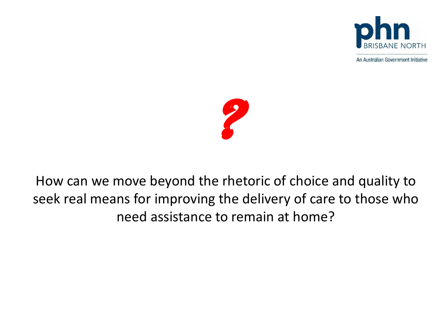



How can we move beyond the rhetoric of choice and quality to seek real means for improving the delivery of care to those who need assistance to remain at home?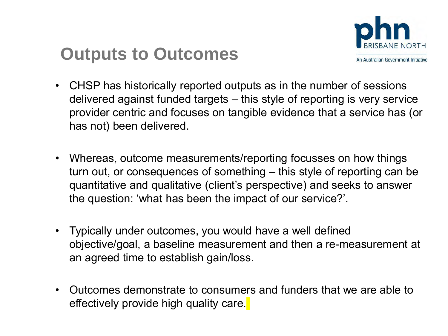

## **Outputs to Outcomes**

- CHSP has historically reported outputs as in the number of sessions delivered against funded targets – this style of reporting is very service provider centric and focuses on tangible evidence that a service has (or has not) been delivered.
- Whereas, outcome measurements/reporting focusses on how things turn out, or consequences of something – this style of reporting can be quantitative and qualitative (client's perspective) and seeks to answer the question: 'what has been the impact of our service?'.
- Typically under outcomes, you would have a well defined objective/goal, a baseline measurement and then a re-measurement at an agreed time to establish gain/loss.
- Outcomes demonstrate to consumers and funders that we are able to effectively provide high quality care.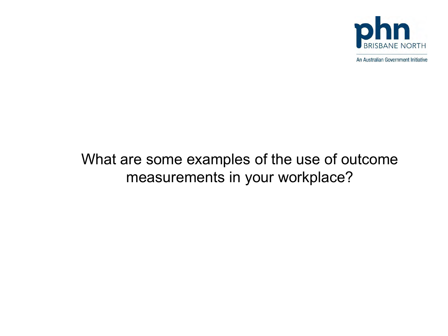

## What are some examples of the use of outcome measurements in your workplace?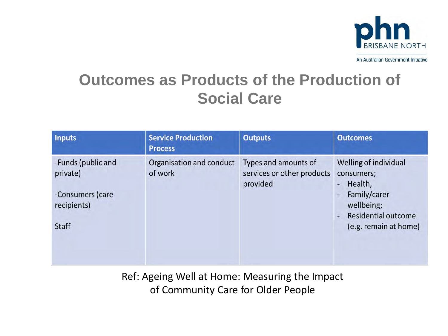

## **Outcomes as Products of the Production of Social Care**

| <b>Inputs</b>                                                                     | <b>Service Production</b><br><b>Process</b> | <b>Outputs</b>                                                 | <b>Outcomes</b>                                                                                                                                          |
|-----------------------------------------------------------------------------------|---------------------------------------------|----------------------------------------------------------------|----------------------------------------------------------------------------------------------------------------------------------------------------------|
| -Funds (public and<br>private)<br>-Consumers (care<br>recipients)<br><b>Staff</b> | Organisation and conduct<br>of work         | Types and amounts of<br>services or other products<br>provided | Welling of individual<br>consumers;<br>Health,<br>$\frac{1}{\sqrt{2}}$<br>- Family/carer<br>wellbeing;<br>- Residential outcome<br>(e.g. remain at home) |

Ref: Ageing Well at Home: Measuring the Impact of Community Care for Older People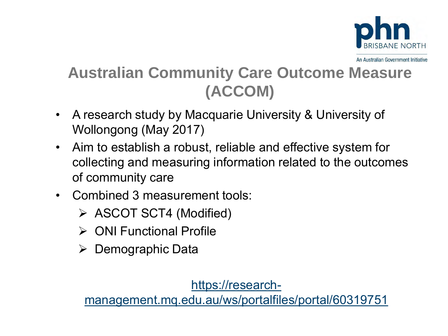

## **Australian Community Care Outcome Measure (ACCOM)**

- A research study by Macquarie University & University of Wollongong (May 2017)
- Aim to establish a robust, reliable and effective system for collecting and measuring information related to the outcomes of community care
- Combined 3 measurement tools:
	- ASCOT SCT4 (Modified)
	- ONI Functional Profile
	- $\triangleright$  Demographic Data

https://research-

[management.mq.edu.au/ws/portalfiles/portal/60319751](https://research-management.mq.edu.au/ws/portalfiles/portal/60319751)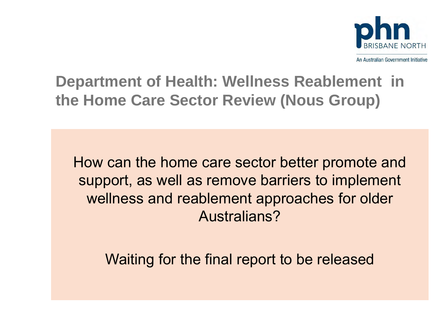

**Department of Health: Wellness Reablement in the Home Care Sector Review (Nous Group)**

How can the home care sector better promote and support, as well as remove barriers to implement wellness and reablement approaches for older Australians?

Waiting for the final report to be released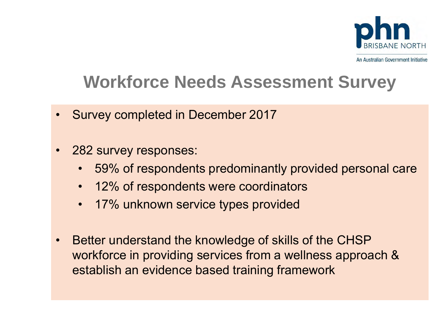

## **Workforce Needs Assessment Survey**

- Survey completed in December 2017
- 282 survey responses:
	- 59% of respondents predominantly provided personal care
	- 12% of respondents were coordinators
	- 17% unknown service types provided
- Better understand the knowledge of skills of the CHSP workforce in providing services from a wellness approach & establish an evidence based training framework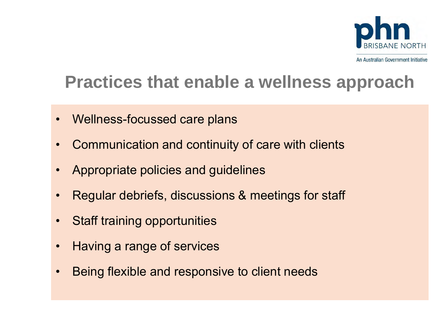

## **Practices that enable a wellness approach**

- Wellness-focussed care plans
- Communication and continuity of care with clients
- Appropriate policies and guidelines
- Regular debriefs, discussions & meetings for staff
- Staff training opportunities
- Having a range of services
- Being flexible and responsive to client needs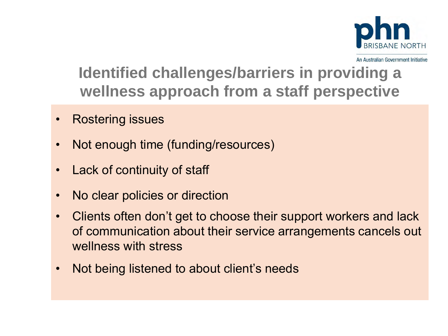

## **Identified challenges/barriers in providing a wellness approach from a staff perspective**

- Rostering issues
- Not enough time (funding/resources)
- Lack of continuity of staff
- No clear policies or direction
- Clients often don't get to choose their support workers and lack of communication about their service arrangements cancels out wellness with stress
- Not being listened to about client's needs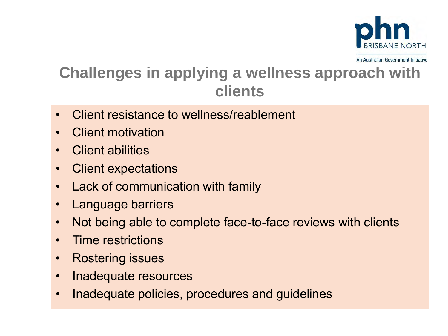

## **Challenges in applying a wellness approach with clients**

- Client resistance to wellness/reablement
- Client motivation
- Client abilities
- Client expectations
- Lack of communication with family
- Language barriers
- Not being able to complete face-to-face reviews with clients
- Time restrictions
- Rostering issues
- Inadequate resources
- Inadequate policies, procedures and guidelines